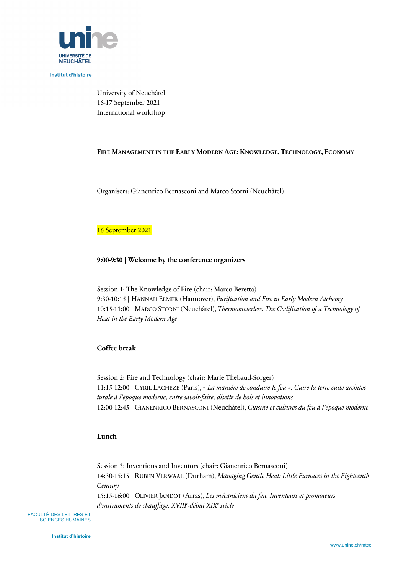

**Institut d'histoire** 

University of Neuchâtel 16-17 September 2021 International workshop

### **FIRE MANAGEMENT IN THE EARLY MODERN AGE: KNOWLEDGE, TECHNOLOGY, ECONOMY**

Organisers: Gianenrico Bernasconi and Marco Storni (Neuchâtel)

#### 16 September 2021

### **9:00-9:30** | **Welcome by the conference organizers**

Session 1: The Knowledge of Fire (chair: Marco Beretta) 9:30-10:15 | HANNAH ELMER (Hannover), *Purification and Fire in Early Modern Alchemy* 10:15-11:00 | MARCO STORNI (Neuchâtel), *Thermometerless: The Codification of a Technology of Heat in the Early Modern Age*

### **Coffee break**

Session 2: Fire and Technology (chair: Marie Thébaud-Sorger) 11:15-12:00 | CYRIL LACHEZE (Paris), *« La maniére de conduire le feu ». Cuire la terre cuite architecturale à l'époque moderne, entre savoir-faire, disette de bois et innovations* 12:00-12:45 | GIANENRICO BERNASCONI (Neuchâtel), *Cuisine et cultures du feu à l'époque moderne*

#### **Lunch**

Session 3: Inventions and Inventors (chair: Gianenrico Bernasconi) 14:30-15:15 | RUBEN VERWAAL (Durham), *Managing Gentle Heat: Little Furnaces in the Eighteenth Century* 15:15-16:00 | OLIVIER JANDOT (Arras), *Les mécaniciens du feu. Inventeurs et promoteurs* 

*d'instruments de chauffage, XVIIIe -début XIXe siècle*

FACULTÉ DES LETTRES ET SCIENCES HUMAINES

**Institut d'histoire**